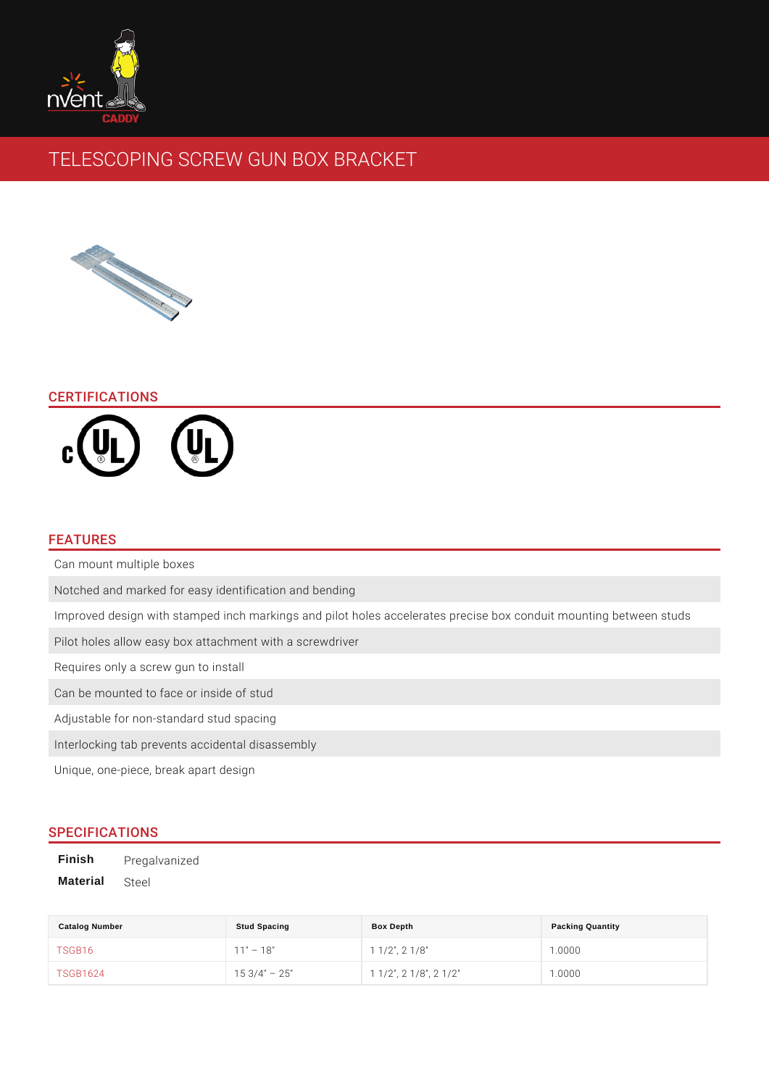# TELESCOPING SCREW GUN BOX BRACKET

# CERTIFICATIONS

# FEATURES

| Can mount multiple boxes                                                       |  |
|--------------------------------------------------------------------------------|--|
| Notched and marked for easy identification and bending                         |  |
| Improved design with stamped inch markings and pilot holes accelerates precise |  |
| Pilot holes allow easy box attachment with a screwdriver                       |  |
| Requires only a screw gun to install                                           |  |
| Can be mounted to face or inside of stud                                       |  |
| Adjustable for non-standard stud spacing                                       |  |
| Interlocking tab prevents accidental disassembly                               |  |
| Unique, one-piece, break apart design                                          |  |

# SPECIFICATIONS

Finish Pregalvanized Material Steel

| Catalog Number  | Stud Spacing      | Box Depth                         | <b>Packing Quantity</b> |
|-----------------|-------------------|-----------------------------------|-------------------------|
| <b>TSGB16</b>   | 18"               | $1 \t1/2$ ", 2 $1/8$ "            | 1.0000                  |
| <b>TSGB1624</b> | $15 \t3/4" \t25"$ | $11/2$ ", 2 1/8", 2 1/2" $1.0000$ |                         |